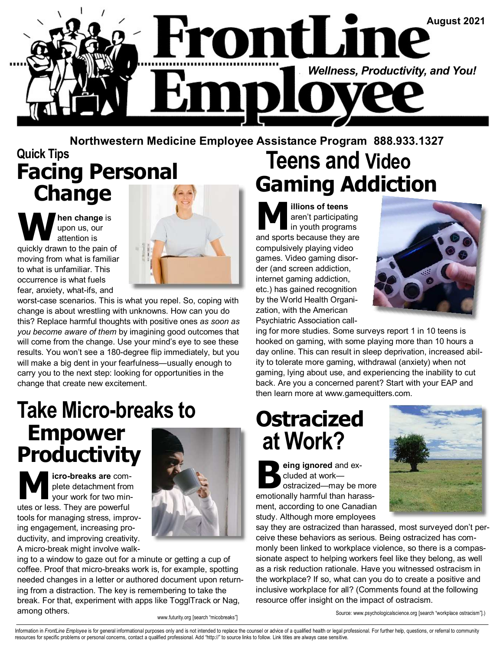

#### **Quick Tips Facing Personal Change Teens and Video Gaming Addiction Northwestern Medicine Employee Assistance Program 888.933.1327**

**hen change** is upon us, our attention is quickly drawn to the pain of moving from what is familiar to what is unfamiliar. This occurrence is what fuels fear, anxiety, what-ifs, and



worst-case scenarios. This is what you repel. So, coping with change is about wrestling with unknowns. How can you do this? Replace harmful thoughts with positive ones *as soon as you become aware of them* by imagining good outcomes that will come from the change. Use your mind's eye to see these results. You won't see a 180-degree flip immediately, but you will make a big dent in your fearfulness—usually enough to carry you to the next step: looking for opportunities in the change that create new excitement.

## **Take Micro-breaks to Empower Productivity**

**M icro-breaks are complete detachment from your work for two min-<br>We are also a Thow are powerful.** plete detachment from utes or less. They are powerful tools for managing stress, improving engagement, increasing productivity, and improving creativity. A micro-break might involve walk-



ing to a window to gaze out for a minute or getting a cup of coffee. Proof that micro-breaks work is, for example, spotting needed changes in a letter or authored document upon returning from a distraction. The key is remembering to take the break. For that, experiment with apps like TogglTrack or Nag, among others.

**M illions of teens**<br>
in youth program<br>
and sports because they a aren't participating in youth programs and sports because they are compulsively playing video games. Video gaming disorder (and screen addiction, internet gaming addiction, etc.) has gained recognition by the World Health Organization, with the American Psychiatric Association call-



ing for more studies. Some surveys report 1 in 10 teens is hooked on gaming, with some playing more than 10 hours a day online. This can result in sleep deprivation, increased ability to tolerate more gaming, withdrawal (anxiety) when not gaming, lying about use, and experiencing the inability to cut back. Are you a concerned parent? Start with your EAP and then learn more at www.gamequitters.com.

# **Ostracized at Work?**

**B eing ignored** and ex-<br>
cluded at work—<br>
ostracized—may be more<br>
emotionally bermful than beress cluded at work emotionally harmful than harassment, according to one Canadian study. Although more employees



say they are ostracized than harassed, most surveyed don't perceive these behaviors as serious. Being ostracized has commonly been linked to workplace violence, so there is a compassionate aspect to helping workers feel like they belong, as well as a risk reduction rationale. Have you witnessed ostracism in the workplace? If so, what can you do to create a positive and inclusive workplace for all? (Comments found at the following resource offer insight on the impact of ostracism.

www.futurity.org [search "micobreaks"]

Source: www.psychologicalscience.org [search "workplace ostracism"].)

Information in FrontLine Employee is for general informational purposes only and is not intended to replace the counsel or advice of a qualified health or legal professional. For further help, questions, or referral to com resources for specific problems or personal concerns, contact a qualified professional. Add "http://" to source links to follow. Link titles are always case sensitive.